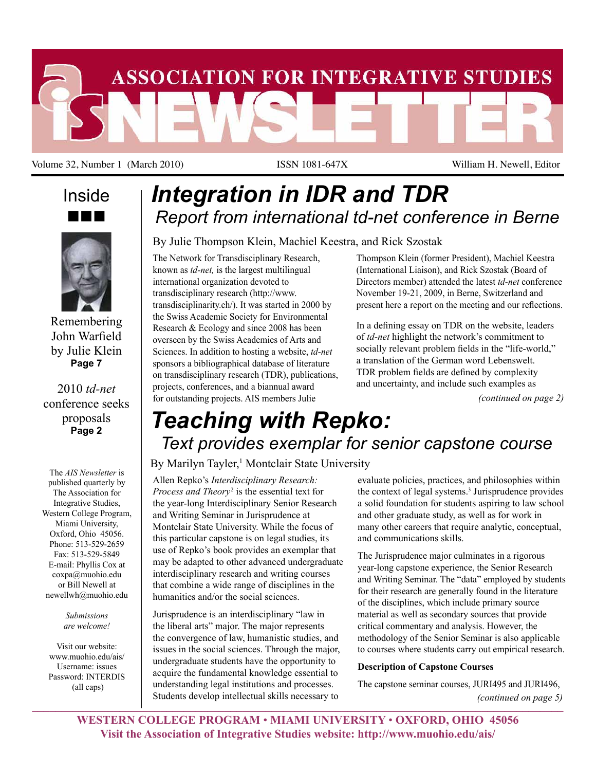

Volume 32, Number 1 (March 2010) ISSN 1081-647X William H. Newell, Editor

# Inside nnn



Remembering John Warfield by Julie Klein **Page 7**

# 2010 *td-net* conference seeks proposals **Page 2**

The *AIS Newsletter* is published quarterly by The Association for Integrative Studies, Western College Program, Miami University, Oxford, Ohio 45056. Phone: 513-529-2659 Fax: 513-529-5849 E-mail: Phyllis Cox at coxpa@muohio.edu or Bill Newell at newellwh@muohio.edu

> *Submissions are welcome!*

Visit our website: www.muohio.edu/ais/ Username: issues Password: INTERDIS (all caps)

# *Integration in IDR and TDR Report from international td-net conference in Berne*

By Julie Thompson Klein, Machiel Keestra, and Rick Szostak

The Network for Transdisciplinary Research, known as *td-net,* is the largest multilingual international organization devoted to transdisciplinary research (http://www. transdisciplinarity.ch/). It was started in 2000 by the Swiss Academic Society for Environmental Research & Ecology and since 2008 has been overseen by the Swiss Academies of Arts and Sciences. In addition to hosting a website, *td-net* sponsors a bibliographical database of literature on transdisciplinary research (TDR), publications, projects, conferences, and a biannual award for outstanding projects. AIS members Julie

Thompson Klein (former President), Machiel Keestra (International Liaison), and Rick Szostak (Board of Directors member) attended the latest *td-net* conference November 19-21, 2009, in Berne, Switzerland and present here a report on the meeting and our reflections.

In a defining essay on TDR on the website, leaders of *td-net* highlight the network's commitment to socially relevant problem fields in the "life-world," a translation of the German word Lebenswelt. TDR problem fields are defined by complexity and uncertainty, and include such examples as

*(continued on page 2)*

# *Teaching with Repko: Text provides exemplar for senior capstone course*

# By Marilyn Tayler,<sup>1</sup> Montclair State University

Allen Repko's *Interdisciplinary Research: Process and Theory*<sup>2</sup> is the essential text for the year-long Interdisciplinary Senior Research and Writing Seminar in Jurisprudence at Montclair State University. While the focus of this particular capstone is on legal studies, its use of Repko's book provides an exemplar that may be adapted to other advanced undergraduate interdisciplinary research and writing courses that combine a wide range of disciplines in the humanities and/or the social sciences.

Jurisprudence is an interdisciplinary "law in the liberal arts" major. The major represents the convergence of law, humanistic studies, and issues in the social sciences. Through the major, undergraduate students have the opportunity to acquire the fundamental knowledge essential to understanding legal institutions and processes. Students develop intellectual skills necessary to

evaluate policies, practices, and philosophies within the context of legal systems.<sup>3</sup> Jurisprudence provides a solid foundation for students aspiring to law school and other graduate study, as well as for work in many other careers that require analytic, conceptual, and communications skills.

The Jurisprudence major culminates in a rigorous year-long capstone experience, the Senior Research and Writing Seminar. The "data" employed by students for their research are generally found in the literature of the disciplines, which include primary source material as well as secondary sources that provide critical commentary and analysis. However, the methodology of the Senior Seminar is also applicable to courses where students carry out empirical research.

## **Description of Capstone Courses**

*(continued on page 5)* The capstone seminar courses, JURI495 and JURI496,  $\frac{1}{2}$  ,  $\frac{1}{2}$  ,  $\frac{1}{2}$  ,  $\frac{1}{2}$  ,  $\frac{1}{2}$  ,  $\frac{1}{2}$  ,  $\frac{1}{2}$  ,  $\frac{1}{2}$  ,  $\frac{1}{2}$  ,  $\frac{1}{2}$  ,  $\frac{1}{2}$  ,  $\frac{1}{2}$  ,  $\frac{1}{2}$  ,  $\frac{1}{2}$  ,  $\frac{1}{2}$  ,  $\frac{1}{2}$  ,  $\frac{1}{2}$  ,  $\frac{1}{2}$  ,  $\frac{1$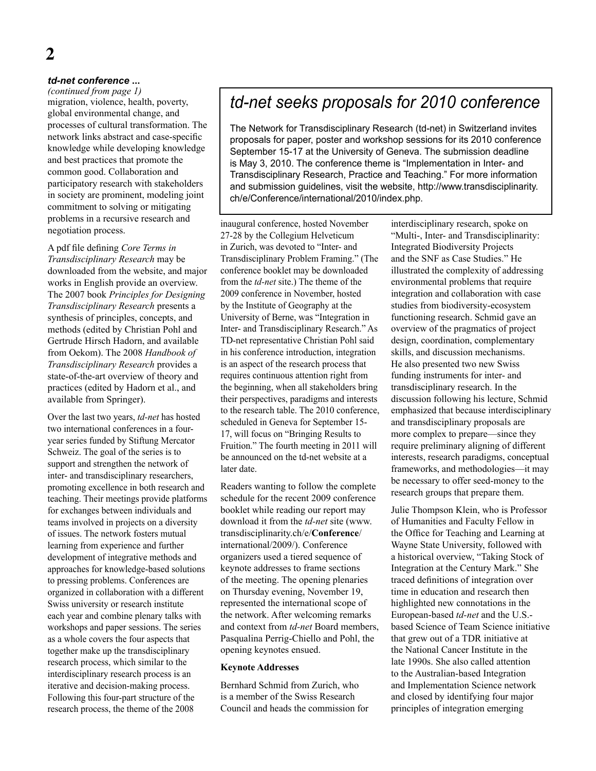# *td-net conference* **...**

*(continued from page 1)* migration, violence, health, poverty, global environmental change, and processes of cultural transformation. The network links abstract and case-specific knowledge while developing knowledge and best practices that promote the common good. Collaboration and participatory research with stakeholders in society are prominent, modeling joint commitment to solving or mitigating problems in a recursive research and negotiation process.

A pdf file defining *Core Terms in Transdisciplinary Research* may be downloaded from the website, and major works in English provide an overview. The 2007 book *Principles for Designing Transdisciplinary Research* presents a synthesis of principles, concepts, and methods (edited by Christian Pohl and Gertrude Hirsch Hadorn, and available from Oekom). The 2008 *Handbook of Transdisciplinary Research* provides a state-of-the-art overview of theory and practices (edited by Hadorn et al., and available from Springer).

Over the last two years, *td-net* has hosted two international conferences in a fouryear series funded by Stiftung Mercator Schweiz. The goal of the series is to support and strengthen the network of inter- and transdisciplinary researchers, promoting excellence in both research and teaching. Their meetings provide platforms for exchanges between individuals and teams involved in projects on a diversity of issues. The network fosters mutual learning from experience and further development of integrative methods and approaches for knowledge-based solutions to pressing problems. Conferences are organized in collaboration with a different Swiss university or research institute each year and combine plenary talks with workshops and paper sessions. The series as a whole covers the four aspects that together make up the transdisciplinary research process, which similar to the interdisciplinary research process is an iterative and decision-making process. Following this four-part structure of the research process, the theme of the 2008

# *td-net seeks proposals for 2010 conference*

The Network for Transdisciplinary Research (td-net) in Switzerland invites proposals for paper, poster and workshop sessions for its 2010 conference September 15-17 at the University of Geneva. The submission deadline is May 3, 2010. The conference theme is "Implementation in Inter- and Transdisciplinary Research, Practice and Teaching." For more information and submission guidelines, visit the website, http://www.transdisciplinarity. ch/e/Conference/international/2010/index.php.

inaugural conference, hosted November 27-28 by the Collegium Helveticum in Zurich, was devoted to "Inter- and Transdisciplinary Problem Framing." (The conference booklet may be downloaded from the *td-net* site.) The theme of the 2009 conference in November, hosted by the Institute of Geography at the University of Berne, was "Integration in Inter- and Transdisciplinary Research." As TD-net representative Christian Pohl said in his conference introduction, integration is an aspect of the research process that requires continuous attention right from the beginning, when all stakeholders bring their perspectives, paradigms and interests to the research table. The 2010 conference, scheduled in Geneva for September 15- 17, will focus on "Bringing Results to Fruition." The fourth meeting in 2011 will be announced on the td-net website at a later date.

Readers wanting to follow the complete schedule for the recent 2009 conference booklet while reading our report may download it from the *td-net* site (www. transdisciplinarity.ch/e/**Conference**/ international/2009/). Conference organizers used a tiered sequence of keynote addresses to frame sections of the meeting. The opening plenaries on Thursday evening, November 19, represented the international scope of the network. After welcoming remarks and context from *td-net* Board members, Pasqualina Perrig-Chiello and Pohl, the opening keynotes ensued.

#### **Keynote Addresses**

Bernhard Schmid from Zurich, who is a member of the Swiss Research Council and heads the commission for

interdisciplinary research, spoke on "Multi-, Inter- and Transdisciplinarity: Integrated Biodiversity Projects and the SNF as Case Studies." He illustrated the complexity of addressing environmental problems that require integration and collaboration with case studies from biodiversity-ecosystem functioning research. Schmid gave an overview of the pragmatics of project design, coordination, complementary skills, and discussion mechanisms. He also presented two new Swiss funding instruments for inter- and transdisciplinary research. In the discussion following his lecture, Schmid emphasized that because interdisciplinary and transdisciplinary proposals are more complex to prepare—since they require preliminary aligning of different interests, research paradigms, conceptual frameworks, and methodologies—it may be necessary to offer seed-money to the research groups that prepare them.

Julie Thompson Klein, who is Professor of Humanities and Faculty Fellow in the Office for Teaching and Learning at Wayne State University, followed with a historical overview, "Taking Stock of Integration at the Century Mark." She traced definitions of integration over time in education and research then highlighted new connotations in the European-based *td-net* and the U.S. based Science of Team Science initiative that grew out of a TDR initiative at the National Cancer Institute in the late 1990s. She also called attention to the Australian-based Integration and Implementation Science network and closed by identifying four major principles of integration emerging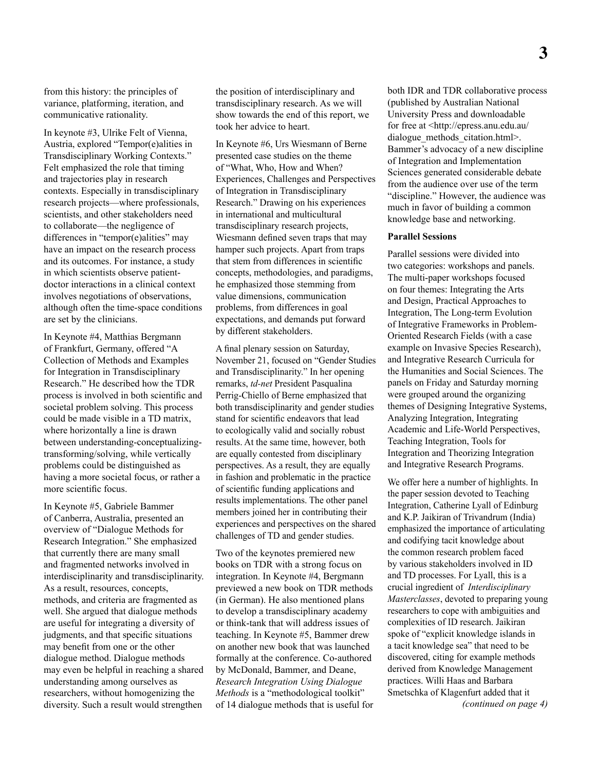from this history: the principles of variance, platforming, iteration, and communicative rationality.

In keynote #3, Ulrike Felt of Vienna, Austria, explored "Tempor(e)alities in Transdisciplinary Working Contexts." Felt emphasized the role that timing and trajectories play in research contexts. Especially in transdisciplinary research projects—where professionals, scientists, and other stakeholders need to collaborate—the negligence of differences in "tempor(e)alities" may have an impact on the research process and its outcomes. For instance, a study in which scientists observe patientdoctor interactions in a clinical context involves negotiations of observations, although often the time-space conditions are set by the clinicians.

In Keynote #4, Matthias Bergmann of Frankfurt, Germany, offered "A Collection of Methods and Examples for Integration in Transdisciplinary Research." He described how the TDR process is involved in both scientific and societal problem solving. This process could be made visible in a TD matrix, where horizontally a line is drawn between understanding-conceptualizingtransforming/solving, while vertically problems could be distinguished as having a more societal focus, or rather a more scientific focus.

In Keynote #5, Gabriele Bammer of Canberra, Australia, presented an overview of "Dialogue Methods for Research Integration." She emphasized that currently there are many small and fragmented networks involved in interdisciplinarity and transdisciplinarity. As a result, resources, concepts, methods, and criteria are fragmented as well. She argued that dialogue methods are useful for integrating a diversity of judgments, and that specific situations may benefit from one or the other dialogue method. Dialogue methods may even be helpful in reaching a shared understanding among ourselves as researchers, without homogenizing the diversity. Such a result would strengthen

the position of interdisciplinary and transdisciplinary research. As we will show towards the end of this report, we took her advice to heart.

In Keynote #6, Urs Wiesmann of Berne presented case studies on the theme of "What, Who, How and When? Experiences, Challenges and Perspectives of Integration in Transdisciplinary Research." Drawing on his experiences in international and multicultural transdisciplinary research projects, Wiesmann defined seven traps that may hamper such projects. Apart from traps that stem from differences in scientific concepts, methodologies, and paradigms, he emphasized those stemming from value dimensions, communication problems, from differences in goal expectations, and demands put forward by different stakeholders.

A final plenary session on Saturday, November 21, focused on "Gender Studies and Transdisciplinarity." In her opening remarks, *td-net* President Pasqualina Perrig-Chiello of Berne emphasized that both transdisciplinarity and gender studies stand for scientific endeavors that lead to ecologically valid and socially robust results. At the same time, however, both are equally contested from disciplinary perspectives. As a result, they are equally in fashion and problematic in the practice of scientific funding applications and results implementations. The other panel members joined her in contributing their experiences and perspectives on the shared challenges of TD and gender studies.

Two of the keynotes premiered new books on TDR with a strong focus on integration. In Keynote #4, Bergmann previewed a new book on TDR methods (in German). He also mentioned plans to develop a transdisciplinary academy or think-tank that will address issues of teaching. In Keynote #5, Bammer drew on another new book that was launched formally at the conference. Co-authored by McDonald, Bammer, and Deane, *Research Integration Using Dialogue Methods* is a "methodological toolkit" of 14 dialogue methods that is useful for both IDR and TDR collaborative process (published by Australian National University Press and downloadable for free at <http://epress.anu.edu.au/ dialogue\_methods\_citation.html>. Bammer's advocacy of a new discipline of Integration and Implementation Sciences generated considerable debate from the audience over use of the term "discipline." However, the audience was much in favor of building a common knowledge base and networking.

#### **Parallel Sessions**

Parallel sessions were divided into two categories: workshops and panels. The multi-paper workshops focused on four themes: Integrating the Arts and Design, Practical Approaches to Integration, The Long-term Evolution of Integrative Frameworks in Problem-Oriented Research Fields (with a case example on Invasive Species Research), and Integrative Research Curricula for the Humanities and Social Sciences. The panels on Friday and Saturday morning were grouped around the organizing themes of Designing Integrative Systems, Analyzing Integration, Integrating Academic and Life-World Perspectives, Teaching Integration, Tools for Integration and Theorizing Integration and Integrative Research Programs.

We offer here a number of highlights. In the paper session devoted to Teaching Integration, Catherine Lyall of Edinburg and K.P. Jaikiran of Trivandrum (India) emphasized the importance of articulating and codifying tacit knowledge about the common research problem faced by various stakeholders involved in ID and TD processes. For Lyall, this is a crucial ingredient of *Interdisciplinary Masterclasses*, devoted to preparing young researchers to cope with ambiguities and complexities of ID research. Jaikiran spoke of "explicit knowledge islands in a tacit knowledge sea" that need to be discovered, citing for example methods derived from Knowledge Management practices. Willi Haas and Barbara Smetschka of Klagenfurt added that it *(continued on page 4)*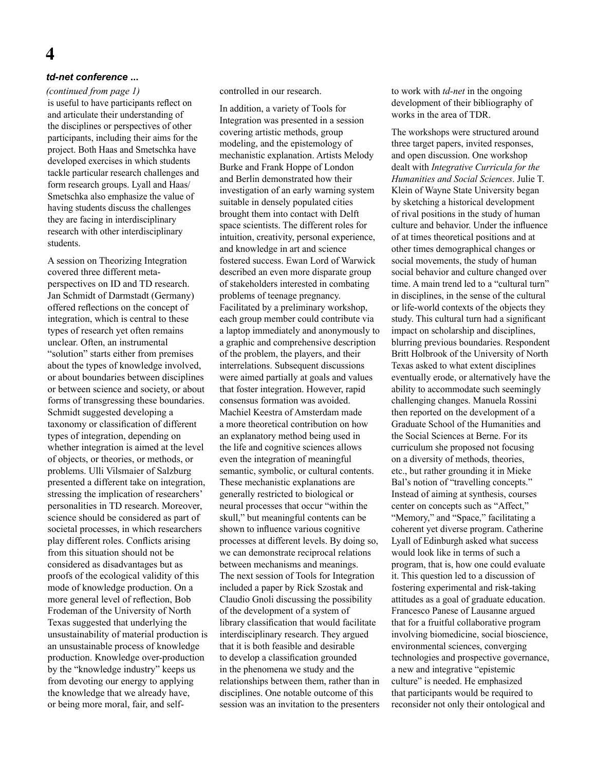# **4**

#### *td-net conference* **...**

is useful to have participants reflect on and articulate their understanding of the disciplines or perspectives of other participants, including their aims for the project. Both Haas and Smetschka have developed exercises in which students tackle particular research challenges and form research groups. Lyall and Haas/ Smetschka also emphasize the value of having students discuss the challenges they are facing in interdisciplinary research with other interdisciplinary students. *(continued from page 1)*

A session on Theorizing Integration covered three different metaperspectives on ID and TD research. Jan Schmidt of Darmstadt (Germany) offered reflections on the concept of integration, which is central to these types of research yet often remains unclear. Often, an instrumental "solution" starts either from premises about the types of knowledge involved, or about boundaries between disciplines or between science and society, or about forms of transgressing these boundaries. Schmidt suggested developing a taxonomy or classification of different types of integration, depending on whether integration is aimed at the level of objects, or theories, or methods, or problems. Ulli Vilsmaier of Salzburg presented a different take on integration, stressing the implication of researchers' personalities in TD research. Moreover, science should be considered as part of societal processes, in which researchers play different roles. Conflicts arising from this situation should not be considered as disadvantages but as proofs of the ecological validity of this mode of knowledge production. On a more general level of reflection, Bob Frodeman of the University of North Texas suggested that underlying the unsustainability of material production is an unsustainable process of knowledge production. Knowledge over-production by the "knowledge industry" keeps us from devoting our energy to applying the knowledge that we already have, or being more moral, fair, and selfcontrolled in our research.

In addition, a variety of Tools for Integration was presented in a session covering artistic methods, group modeling, and the epistemology of mechanistic explanation. Artists Melody Burke and Frank Hoppe of London and Berlin demonstrated how their investigation of an early warning system suitable in densely populated cities brought them into contact with Delft space scientists. The different roles for intuition, creativity, personal experience, and knowledge in art and science fostered success. Ewan Lord of Warwick described an even more disparate group of stakeholders interested in combating problems of teenage pregnancy. Facilitated by a preliminary workshop, each group member could contribute via a laptop immediately and anonymously to a graphic and comprehensive description of the problem, the players, and their interrelations. Subsequent discussions were aimed partially at goals and values that foster integration. However, rapid consensus formation was avoided. Machiel Keestra of Amsterdam made a more theoretical contribution on how an explanatory method being used in the life and cognitive sciences allows even the integration of meaningful semantic, symbolic, or cultural contents. These mechanistic explanations are generally restricted to biological or neural processes that occur "within the skull," but meaningful contents can be shown to influence various cognitive processes at different levels. By doing so, we can demonstrate reciprocal relations between mechanisms and meanings. The next session of Tools for Integration included a paper by Rick Szostak and Claudio Gnoli discussing the possibility of the development of a system of library classification that would facilitate interdisciplinary research. They argued that it is both feasible and desirable to develop a classification grounded in the phenomena we study and the relationships between them, rather than in disciplines. One notable outcome of this session was an invitation to the presenters

to work with *td-net* in the ongoing development of their bibliography of works in the area of TDR.

The workshops were structured around three target papers, invited responses, and open discussion. One workshop dealt with *Integrative Curricula for the Humanities and Social Sciences*. Julie T. Klein of Wayne State University began by sketching a historical development of rival positions in the study of human culture and behavior. Under the influence of at times theoretical positions and at other times demographical changes or social movements, the study of human social behavior and culture changed over time. A main trend led to a "cultural turn" in disciplines, in the sense of the cultural or life-world contexts of the objects they study. This cultural turn had a significant impact on scholarship and disciplines, blurring previous boundaries. Respondent Britt Holbrook of the University of North Texas asked to what extent disciplines eventually erode, or alternatively have the ability to accommodate such seemingly challenging changes. Manuela Rossini then reported on the development of a Graduate School of the Humanities and the Social Sciences at Berne. For its curriculum she proposed not focusing on a diversity of methods, theories, etc., but rather grounding it in Mieke Bal's notion of "travelling concepts." Instead of aiming at synthesis, courses center on concepts such as "Affect," "Memory," and "Space," facilitating a coherent yet diverse program. Catherine Lyall of Edinburgh asked what success would look like in terms of such a program, that is, how one could evaluate it. This question led to a discussion of fostering experimental and risk-taking attitudes as a goal of graduate education. Francesco Panese of Lausanne argued that for a fruitful collaborative program involving biomedicine, social bioscience, environmental sciences, converging technologies and prospective governance, a new and integrative "epistemic culture" is needed. He emphasized that participants would be required to reconsider not only their ontological and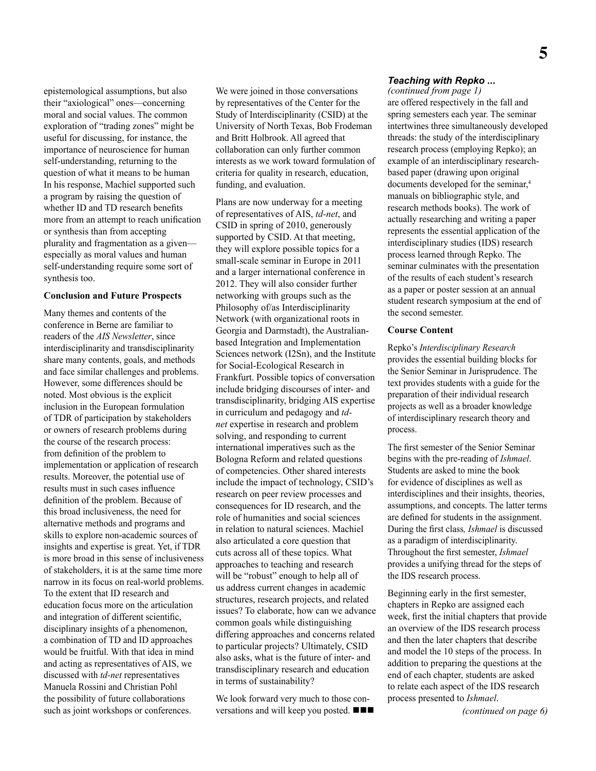epistemological assumptions, but also their "axiological" ones—concerning moral and social values. The common exploration of "trading zones" might be useful for discussing, for instance, the importance of neuroscience for human self-understanding, returning to the question of what it means to be human In his response, Machiel supported such a program by raising the question of whether ID and TD research benefits more from an attempt to reach unification or synthesis than from accepting plurality and fragmentation as a given especially as moral values and human self-understanding require some sort of synthesis too.

#### **Conclusion and Future Prospects**

Many themes and contents of the conference in Berne are familiar to readers of the *AIS Newsletter*, since interdisciplinarity and transdisciplinarity share many contents, goals, and methods and face similar challenges and problems. However, some differences should be noted. Most obvious is the explicit inclusion in the European formulation of TDR of participation by stakeholders or owners of research problems during the course of the research process: from definition of the problem to implementation or application of research results. Moreover, the potential use of results must in such cases influence definition of the problem. Because of this broad inclusiveness, the need for alternative methods and programs and skills to explore non-academic sources of insights and expertise is great. Yet, if TDR is more broad in this sense of inclusiveness of stakeholders, it is at the same time more narrow in its focus on real-world problems. To the extent that ID research and education focus more on the articulation and integration of different scientific, disciplinary insights of a phenomenon, a combination of TD and ID approaches would be fruitful. With that idea in mind and acting as representatives of AIS, we discussed with *td-net* representatives Manuela Rossini and Christian Pohl the possibility of future collaborations such as joint workshops or conferences.

We were joined in those conversations by representatives of the Center for the Study of Interdisciplinarity (CSID) at the University of North Texas, Bob Frodeman and Britt Holbrook. All agreed that collaboration can only further common interests as we work toward formulation of criteria for quality in research, education, funding, and evaluation.

Plans are now underway for a meeting of representatives of AIS, *td-net*, and CSID in spring of 2010, generously supported by CSID. At that meeting, they will explore possible topics for a small-scale seminar in Europe in 2011 and a larger international conference in 2012. They will also consider further networking with groups such as the Philosophy of/as Interdisciplinarity Network (with organizational roots in Georgia and Darmstadt), the Australianbased Integration and Implementation Sciences network (I2Sn), and the Institute for Social-Ecological Research in Frankfurt. Possible topics of conversation include bridging discourses of inter- and transdisciplinarity, bridging AIS expertise in curriculum and pedagogy and *tdnet* expertise in research and problem solving, and responding to current international imperatives such as the Bologna Reform and related questions of competencies. Other shared interests include the impact of technology, CSID's research on peer review processes and consequences for ID research, and the role of humanities and social sciences in relation to natural sciences. Machiel also articulated a core question that cuts across all of these topics. What approaches to teaching and research will be "robust" enough to help all of us address current changes in academic structures, research projects, and related issues? To elaborate, how can we advance common goals while distinguishing differing approaches and concerns related to particular projects? Ultimately, CSID also asks, what is the future of inter- and transdisciplinary research and education in terms of sustainability?

We look forward very much to those conversations and will keep you posted.  $\blacksquare$ 

### *Teaching with Repko* **...**

*(continued from page 1)* are offered respectively in the fall and spring semesters each year. The seminar intertwines three simultaneously developed threads: the study of the interdisciplinary research process (employing Repko); an example of an interdisciplinary researchbased paper (drawing upon original documents developed for the seminar,<sup>4</sup> manuals on bibliographic style, and research methods books). The work of actually researching and writing a paper represents the essential application of the interdisciplinary studies (IDS) research process learned through Repko. The seminar culminates with the presentation of the results of each student's research as a paper or poster session at an annual student research symposium at the end of the second semester.

### **Course Content**

Repko's *Interdisciplinary Research*  provides the essential building blocks for the Senior Seminar in Jurisprudence. The text provides students with a guide for the preparation of their individual research projects as well as a broader knowledge of interdisciplinary research theory and process.

The first semester of the Senior Seminar begins with the pre-reading of *Ishmael*. Students are asked to mine the book for evidence of disciplines as well as interdisciplines and their insights, theories, assumptions, and concepts. The latter terms are defined for students in the assignment. During the first class*, Ishmael* is discussed as a paradigm of interdisciplinarity. Throughout the first semester, *Ishmael* provides a unifying thread for the steps of the IDS research process.

Beginning early in the first semester, chapters in Repko are assigned each week, first the initial chapters that provide an overview of the IDS research process and then the later chapters that describe and model the 10 steps of the process. In addition to preparing the questions at the end of each chapter, students are asked to relate each aspect of the IDS research process presented to *Ishmael*.

*(continued on page 6)*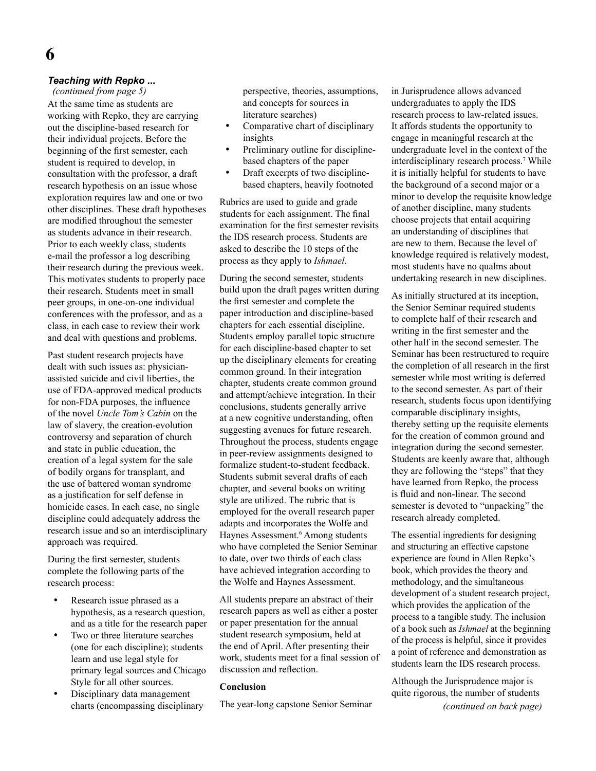### *Teaching with Repko* **...**

At the same time as students are working with Repko, they are carrying out the discipline-based research for their individual projects. Before the beginning of the first semester, each student is required to develop, in consultation with the professor, a draft research hypothesis on an issue whose exploration requires law and one or two other disciplines. These draft hypotheses are modified throughout the semester as students advance in their research. Prior to each weekly class, students e-mail the professor a log describing their research during the previous week. This motivates students to properly pace their research. Students meet in small peer groups, in one-on-one individual conferences with the professor, and as a class, in each case to review their work and deal with questions and problems. *(continued from page 5)*

Past student research projects have dealt with such issues as: physicianassisted suicide and civil liberties, the use of FDA-approved medical products for non-FDA purposes, the influence of the novel *Uncle Tom's Cabin* on the law of slavery, the creation-evolution controversy and separation of church and state in public education, the creation of a legal system for the sale of bodily organs for transplant, and the use of battered woman syndrome as a justification for self defense in homicide cases. In each case, no single discipline could adequately address the research issue and so an interdisciplinary approach was required.

During the first semester, students complete the following parts of the research process:

- Research issue phrased as a hypothesis, as a research question, and as a title for the research paper
- Two or three literature searches (one for each discipline); students learn and use legal style for primary legal sources and Chicago Style for all other sources.
- Disciplinary data management charts (encompassing disciplinary

perspective, theories, assumptions, and concepts for sources in literature searches)

- Comparative chart of disciplinary insights
- Preliminary outline for disciplinebased chapters of the paper
- Draft excerpts of two disciplinebased chapters, heavily footnoted

Rubrics are used to guide and grade students for each assignment. The final examination for the first semester revisits the IDS research process. Students are asked to describe the 10 steps of the process as they apply to *Ishmael*.

During the second semester, students build upon the draft pages written during the first semester and complete the paper introduction and discipline-based chapters for each essential discipline. Students employ parallel topic structure for each discipline-based chapter to set up the disciplinary elements for creating common ground. In their integration chapter, students create common ground and attempt/achieve integration. In their conclusions, students generally arrive at a new cognitive understanding, often suggesting avenues for future research. Throughout the process, students engage in peer-review assignments designed to formalize student-to-student feedback. Students submit several drafts of each chapter, and several books on writing style are utilized. The rubric that is employed for the overall research paper adapts and incorporates the Wolfe and Haynes Assessment.<sup>6</sup> Among students who have completed the Senior Seminar to date, over two thirds of each class have achieved integration according to the Wolfe and Haynes Assessment.

All students prepare an abstract of their research papers as well as either a poster or paper presentation for the annual student research symposium, held at the end of April. After presenting their work, students meet for a final session of discussion and reflection.

#### **Conclusion**

The year-long capstone Senior Seminar

in Jurisprudence allows advanced undergraduates to apply the IDS research process to law-related issues. It affords students the opportunity to engage in meaningful research at the undergraduate level in the context of the interdisciplinary research process.7 While it is initially helpful for students to have the background of a second major or a minor to develop the requisite knowledge of another discipline, many students choose projects that entail acquiring an understanding of disciplines that are new to them. Because the level of knowledge required is relatively modest, most students have no qualms about undertaking research in new disciplines.

As initially structured at its inception, the Senior Seminar required students to complete half of their research and writing in the first semester and the other half in the second semester. The Seminar has been restructured to require the completion of all research in the first semester while most writing is deferred to the second semester. As part of their research, students focus upon identifying comparable disciplinary insights, thereby setting up the requisite elements for the creation of common ground and integration during the second semester. Students are keenly aware that, although they are following the "steps" that they have learned from Repko, the process is fluid and non-linear. The second semester is devoted to "unpacking" the research already completed.

The essential ingredients for designing and structuring an effective capstone experience are found in Allen Repko's book, which provides the theory and methodology, and the simultaneous development of a student research project, which provides the application of the process to a tangible study. The inclusion of a book such as *Ishmael* at the beginning of the process is helpful, since it provides a point of reference and demonstration as students learn the IDS research process.

Although the Jurisprudence major is quite rigorous, the number of students

*(continued on back page)*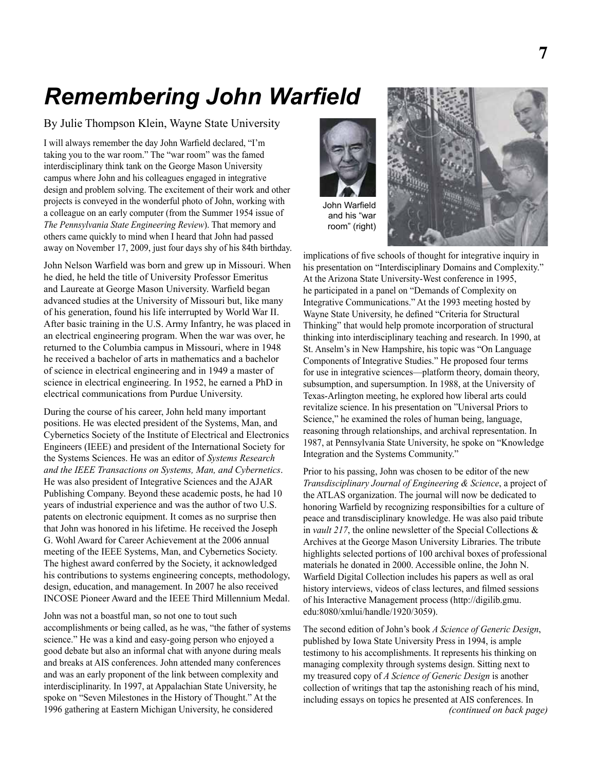# *Remembering John Warfield*

By Julie Thompson Klein, Wayne State University

I will always remember the day John Warfield declared, "I'm taking you to the war room." The "war room" was the famed interdisciplinary think tank on the George Mason University campus where John and his colleagues engaged in integrative design and problem solving. The excitement of their work and other projects is conveyed in the wonderful photo of John, working with a colleague on an early computer (from the Summer 1954 issue of *The Pennsylvania State Engineering Review*). That memory and others came quickly to mind when I heard that John had passed away on November 17, 2009, just four days shy of his 84th birthday.

John Nelson Warfield was born and grew up in Missouri. When he died, he held the title of University Professor Emeritus and Laureate at George Mason University. Warfield began advanced studies at the University of Missouri but, like many of his generation, found his life interrupted by World War II. After basic training in the U.S. Army Infantry, he was placed in an electrical engineering program. When the war was over, he returned to the Columbia campus in Missouri, where in 1948 he received a bachelor of arts in mathematics and a bachelor of science in electrical engineering and in 1949 a master of science in electrical engineering. In 1952, he earned a PhD in electrical communications from Purdue University.

During the course of his career, John held many important positions. He was elected president of the Systems, Man, and Cybernetics Society of the Institute of Electrical and Electronics Engineers (IEEE) and president of the International Society for the Systems Sciences. He was an editor of *Systems Research and the IEEE Transactions on Systems, Man, and Cybernetics*. He was also president of Integrative Sciences and the AJAR Publishing Company. Beyond these academic posts, he had 10 years of industrial experience and was the author of two U.S. patents on electronic equipment. It comes as no surprise then that John was honored in his lifetime. He received the Joseph G. Wohl Award for Career Achievement at the 2006 annual meeting of the IEEE Systems, Man, and Cybernetics Society. The highest award conferred by the Society, it acknowledged his contributions to systems engineering concepts, methodology, design, education, and management. In 2007 he also received INCOSE Pioneer Award and the IEEE Third Millennium Medal.

John was not a boastful man, so not one to tout such accomplishments or being called, as he was, "the father of systems science." He was a kind and easy-going person who enjoyed a good debate but also an informal chat with anyone during meals and breaks at AIS conferences. John attended many conferences and was an early proponent of the link between complexity and interdisciplinarity. In 1997, at Appalachian State University, he spoke on "Seven Milestones in the History of Thought." At the 1996 gathering at Eastern Michigan University, he considered





implications of five schools of thought for integrative inquiry in his presentation on "Interdisciplinary Domains and Complexity." At the Arizona State University-West conference in 1995, he participated in a panel on "Demands of Complexity on Integrative Communications." At the 1993 meeting hosted by Wayne State University, he defined "Criteria for Structural Thinking" that would help promote incorporation of structural thinking into interdisciplinary teaching and research. In 1990, at St. Anselm's in New Hampshire, his topic was "On Language Components of Integrative Studies." He proposed four terms for use in integrative sciences—platform theory, domain theory, subsumption, and supersumption. In 1988, at the University of Texas-Arlington meeting, he explored how liberal arts could revitalize science. In his presentation on "Universal Priors to Science," he examined the roles of human being, language, reasoning through relationships, and archival representation. In 1987, at Pennsylvania State University, he spoke on "Knowledge Integration and the Systems Community."

Prior to his passing, John was chosen to be editor of the new *Transdisciplinary Journal of Engineering & Science*, a project of the ATLAS organization. The journal will now be dedicated to honoring Warfield by recognizing responsibilties for a culture of peace and transdisciplinary knowledge. He was also paid tribute in *vault 217*, the online newsletter of the Special Collections & Archives at the George Mason University Libraries. The tribute highlights selected portions of 100 archival boxes of professional materials he donated in 2000. Accessible online, the John N. Warfield Digital Collection includes his papers as well as oral history interviews, videos of class lectures, and filmed sessions of his Interactive Management process (http://digilib.gmu. edu:8080/xmlui/handle/1920/3059).

The second edition of John's book *A Science of Generic Design*, published by Iowa State University Press in 1994, is ample testimony to his accomplishments. It represents his thinking on managing complexity through systems design. Sitting next to my treasured copy of *A Science of Generic Design* is another collection of writings that tap the astonishing reach of his mind, including essays on topics he presented at AIS conferences. In *(continued on back page)*